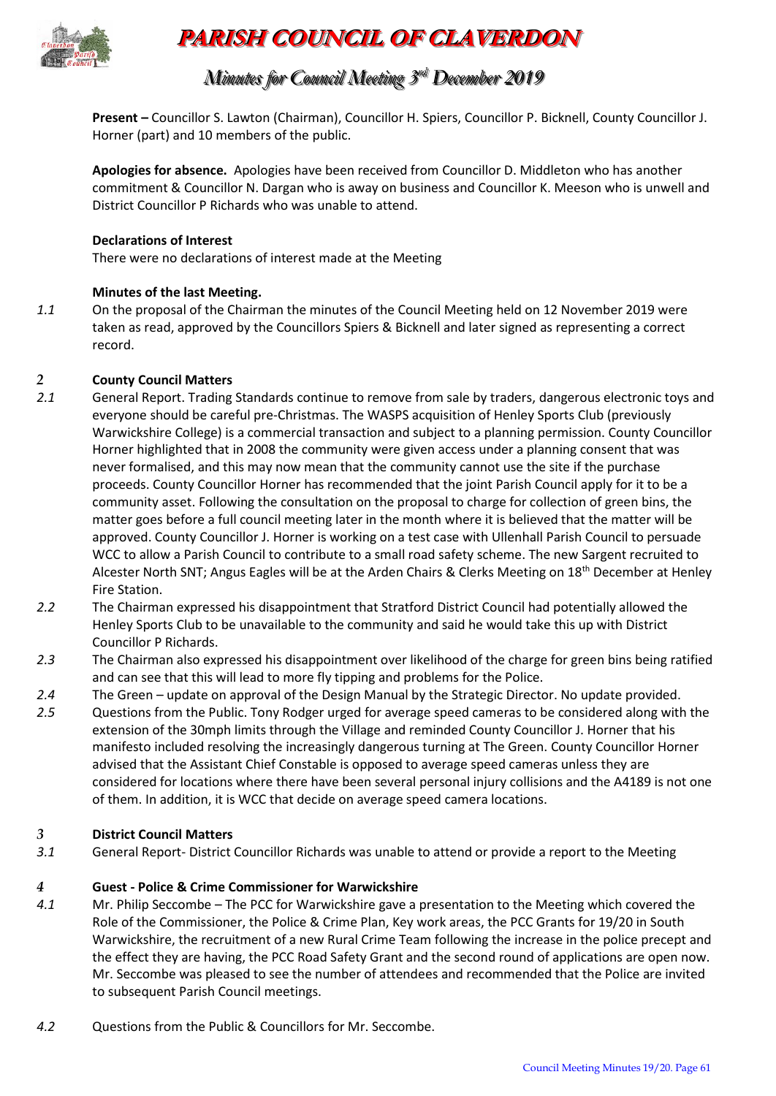

# **PARISH COUNCIL OF CLAVERDON**

# *Minutes for Council Meeting 3 r rdd December 2019*

**Present –** Councillor S. Lawton (Chairman), Councillor H. Spiers, Councillor P. Bicknell, County Councillor J. Horner (part) and 10 members of the public.

**Apologies for absence.** Apologies have been received from Councillor D. Middleton who has another commitment & Councillor N. Dargan who is away on business and Councillor K. Meeson who is unwell and District Councillor P Richards who was unable to attend.

#### **Declarations of Interest**

There were no declarations of interest made at the Meeting

#### **Minutes of the last Meeting.**

*1.1* On the proposal of the Chairman the minutes of the Council Meeting held on 12 November 2019 were taken as read, approved by the Councillors Spiers & Bicknell and later signed as representing a correct record.

#### *2* **County Council Matters**

- *2.1* General Report. Trading Standards continue to remove from sale by traders, dangerous electronic toys and everyone should be careful pre-Christmas. The WASPS acquisition of Henley Sports Club (previously Warwickshire College) is a commercial transaction and subject to a planning permission. County Councillor Horner highlighted that in 2008 the community were given access under a planning consent that was never formalised, and this may now mean that the community cannot use the site if the purchase proceeds. County Councillor Horner has recommended that the joint Parish Council apply for it to be a community asset. Following the consultation on the proposal to charge for collection of green bins, the matter goes before a full council meeting later in the month where it is believed that the matter will be approved. County Councillor J. Horner is working on a test case with Ullenhall Parish Council to persuade WCC to allow a Parish Council to contribute to a small road safety scheme. The new Sargent recruited to Alcester North SNT; Angus Eagles will be at the Arden Chairs & Clerks Meeting on 18th December at Henley Fire Station.
- *2.2* The Chairman expressed his disappointment that Stratford District Council had potentially allowed the Henley Sports Club to be unavailable to the community and said he would take this up with District Councillor P Richards.
- *2.3* The Chairman also expressed his disappointment over likelihood of the charge for green bins being ratified and can see that this will lead to more fly tipping and problems for the Police.
- *2.4* The Green update on approval of the Design Manual by the Strategic Director. No update provided.
- *2.5* Questions from the Public. Tony Rodger urged for average speed cameras to be considered along with the extension of the 30mph limits through the Village and reminded County Councillor J. Horner that his manifesto included resolving the increasingly dangerous turning at The Green. County Councillor Horner advised that the Assistant Chief Constable is opposed to average speed cameras unless they are considered for locations where there have been several personal injury collisions and the A4189 is not one of them. In addition, it is WCC that decide on average speed camera locations.

#### *3* **District Council Matters**

*3.1* General Report- District Councillor Richards was unable to attend or provide a report to the Meeting

#### *4* **Guest - Police & Crime Commissioner for Warwickshire**

- *4.1* Mr. Philip Seccombe The PCC for Warwickshire gave a presentation to the Meeting which covered the Role of the Commissioner, the Police & Crime Plan, Key work areas, the PCC Grants for 19/20 in South Warwickshire, the recruitment of a new Rural Crime Team following the increase in the police precept and the effect they are having, the PCC Road Safety Grant and the second round of applications are open now. Mr. Seccombe was pleased to see the number of attendees and recommended that the Police are invited to subsequent Parish Council meetings.
- *4.2* Questions from the Public & Councillors for Mr. Seccombe.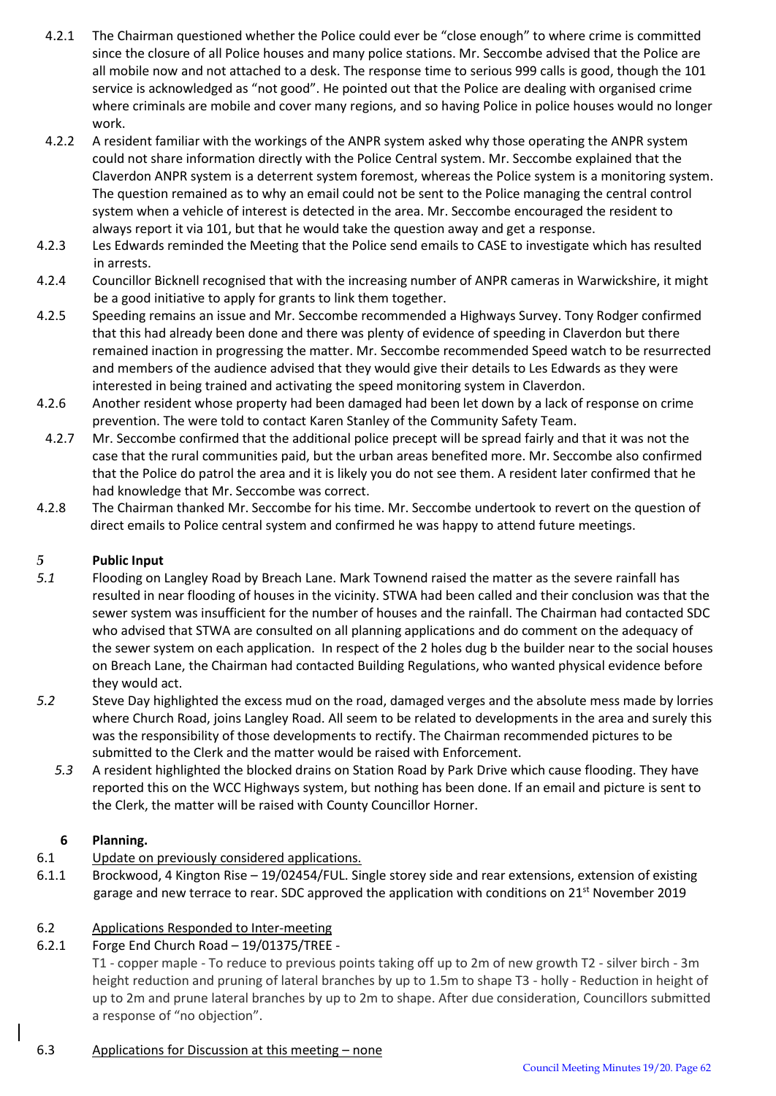- 4.2.1 The Chairman questioned whether the Police could ever be "close enough" to where crime is committed since the closure of all Police houses and many police stations. Mr. Seccombe advised that the Police are all mobile now and not attached to a desk. The response time to serious 999 calls is good, though the 101 service is acknowledged as "not good". He pointed out that the Police are dealing with organised crime where criminals are mobile and cover many regions, and so having Police in police houses would no longer work.
- 4.2.2 A resident familiar with the workings of the ANPR system asked why those operating the ANPR system could not share information directly with the Police Central system. Mr. Seccombe explained that the Claverdon ANPR system is a deterrent system foremost, whereas the Police system is a monitoring system. The question remained as to why an email could not be sent to the Police managing the central control system when a vehicle of interest is detected in the area. Mr. Seccombe encouraged the resident to always report it via 101, but that he would take the question away and get a response.
- 4.2.3 Les Edwards reminded the Meeting that the Police send emails to CASE to investigate which has resulted in arrests.
- 4.2.4 Councillor Bicknell recognised that with the increasing number of ANPR cameras in Warwickshire, it might be a good initiative to apply for grants to link them together.
- 4.2.5 Speeding remains an issue and Mr. Seccombe recommended a Highways Survey. Tony Rodger confirmed that this had already been done and there was plenty of evidence of speeding in Claverdon but there remained inaction in progressing the matter. Mr. Seccombe recommended Speed watch to be resurrected and members of the audience advised that they would give their details to Les Edwards as they were interested in being trained and activating the speed monitoring system in Claverdon.
- 4.2.6 Another resident whose property had been damaged had been let down by a lack of response on crime prevention. The were told to contact Karen Stanley of the Community Safety Team.
- 4.2.7 Mr. Seccombe confirmed that the additional police precept will be spread fairly and that it was not the case that the rural communities paid, but the urban areas benefited more. Mr. Seccombe also confirmed that the Police do patrol the area and it is likely you do not see them. A resident later confirmed that he had knowledge that Mr. Seccombe was correct.
- 4.2.8 The Chairman thanked Mr. Seccombe for his time. Mr. Seccombe undertook to revert on the question of direct emails to Police central system and confirmed he was happy to attend future meetings.

#### *5* **Public Input**

- *5.1* Flooding on Langley Road by Breach Lane. Mark Townend raised the matter as the severe rainfall has resulted in near flooding of houses in the vicinity. STWA had been called and their conclusion was that the sewer system was insufficient for the number of houses and the rainfall. The Chairman had contacted SDC who advised that STWA are consulted on all planning applications and do comment on the adequacy of the sewer system on each application. In respect of the 2 holes dug b the builder near to the social houses on Breach Lane, the Chairman had contacted Building Regulations, who wanted physical evidence before they would act.
- *5.2* Steve Day highlighted the excess mud on the road, damaged verges and the absolute mess made by lorries where Church Road, joins Langley Road. All seem to be related to developments in the area and surely this was the responsibility of those developments to rectify. The Chairman recommended pictures to be submitted to the Clerk and the matter would be raised with Enforcement.
	- *5.3* A resident highlighted the blocked drains on Station Road by Park Drive which cause flooding. They have reported this on the WCC Highways system, but nothing has been done. If an email and picture is sent to the Clerk, the matter will be raised with County Councillor Horner.

# **6 Planning.**

- 6.1 Update on previously considered applications.
- 6.1.1 Brockwood, 4 Kington Rise 19/02454/FUL. Single storey side and rear extensions, extension of existing garage and new terrace to rear. SDC approved the application with conditions on  $21^{st}$  November 2019

# 6.2 Applications Responded to Inter-meeting

6.2.1 Forge End Church Road – 19/01375/TREE -

T1 - copper maple - To reduce to previous points taking off up to 2m of new growth T2 - silver birch - 3m height reduction and pruning of lateral branches by up to 1.5m to shape T3 - holly - Reduction in height of up to 2m and prune lateral branches by up to 2m to shape. After due consideration, Councillors submitted a response of "no objection".

#### 6.3 Applications for Discussion at this meeting – none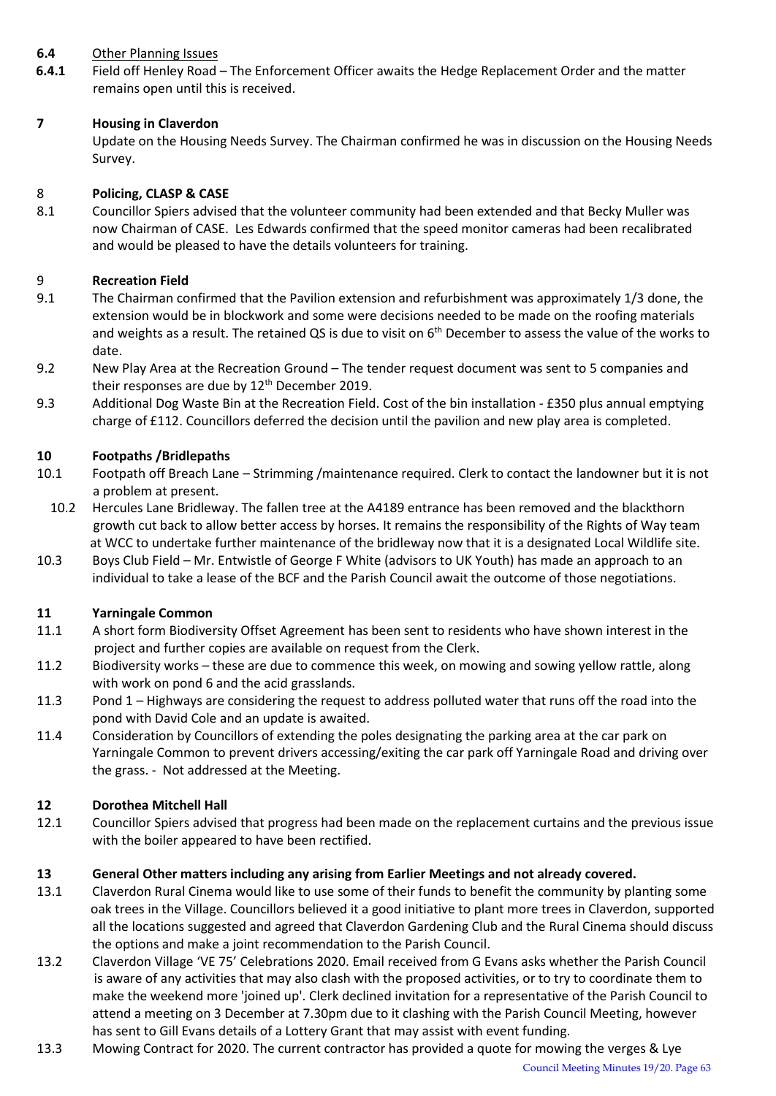#### **6.4** Other Planning Issues

**6.4.1** Field off Henley Road – The Enforcement Officer awaits the Hedge Replacement Order and the matter remains open until this is received.

#### **7 Housing in Claverdon**

Update on the Housing Needs Survey. The Chairman confirmed he was in discussion on the Housing Needs Survey.

#### 8 **Policing, CLASP & CASE**

8.1 Councillor Spiers advised that the volunteer community had been extended and that Becky Muller was now Chairman of CASE. Les Edwards confirmed that the speed monitor cameras had been recalibrated and would be pleased to have the details volunteers for training.

#### 9 **Recreation Field**

- 9.1 The Chairman confirmed that the Pavilion extension and refurbishment was approximately 1/3 done, the extension would be in blockwork and some were decisions needed to be made on the roofing materials and weights as a result. The retained QS is due to visit on  $6<sup>th</sup>$  December to assess the value of the works to date.
- 9.2 New Play Area at the Recreation Ground The tender request document was sent to 5 companies and their responses are due by  $12<sup>th</sup>$  December 2019.
- 9.3 Additional Dog Waste Bin at the Recreation Field. Cost of the bin installation £350 plus annual emptying charge of £112. Councillors deferred the decision until the pavilion and new play area is completed.

#### **10 Footpaths /Bridlepaths**

- 10.1 Footpath off Breach Lane Strimming /maintenance required. Clerk to contact the landowner but it is not a problem at present.
- 10.2 Hercules Lane Bridleway. The fallen tree at the A4189 entrance has been removed and the blackthorn growth cut back to allow better access by horses. It remains the responsibility of the Rights of Way team at WCC to undertake further maintenance of the bridleway now that it is a designated Local Wildlife site.
- 10.3 Boys Club Field Mr. Entwistle of George F White (advisors to UK Youth) has made an approach to an individual to take a lease of the BCF and the Parish Council await the outcome of those negotiations.

#### **11 Yarningale Common**

- 11.1 A short form Biodiversity Offset Agreement has been sent to residents who have shown interest in the project and further copies are available on request from the Clerk.
- 11.2 Biodiversity works these are due to commence this week, on mowing and sowing yellow rattle, along with work on pond 6 and the acid grasslands.
- 11.3 Pond 1 Highways are considering the request to address polluted water that runs off the road into the pond with David Cole and an update is awaited.
- 11.4 Consideration by Councillors of extending the poles designating the parking area at the car park on Yarningale Common to prevent drivers accessing/exiting the car park off Yarningale Road and driving over the grass. - Not addressed at the Meeting.

#### **12 Dorothea Mitchell Hall**

12.1 Councillor Spiers advised that progress had been made on the replacement curtains and the previous issue with the boiler appeared to have been rectified.

#### **13 General Other matters including any arising from Earlier Meetings and not already covered.**

- 13.1 Claverdon Rural Cinema would like to use some of their funds to benefit the community by planting some oak trees in the Village. Councillors believed it a good initiative to plant more trees in Claverdon, supported all the locations suggested and agreed that Claverdon Gardening Club and the Rural Cinema should discuss the options and make a joint recommendation to the Parish Council.
- 13.2 Claverdon Village 'VE 75' Celebrations 2020. Email received from G Evans asks whether the Parish Council is aware of any activities that may also clash with the proposed activities, or to try to coordinate them to make the weekend more 'joined up'. Clerk declined invitation for a representative of the Parish Council to attend a meeting on 3 December at 7.30pm due to it clashing with the Parish Council Meeting, however has sent to Gill Evans details of a Lottery Grant that may assist with event funding.
- 13.3 Mowing Contract for 2020. The current contractor has provided a quote for mowing the verges & Lye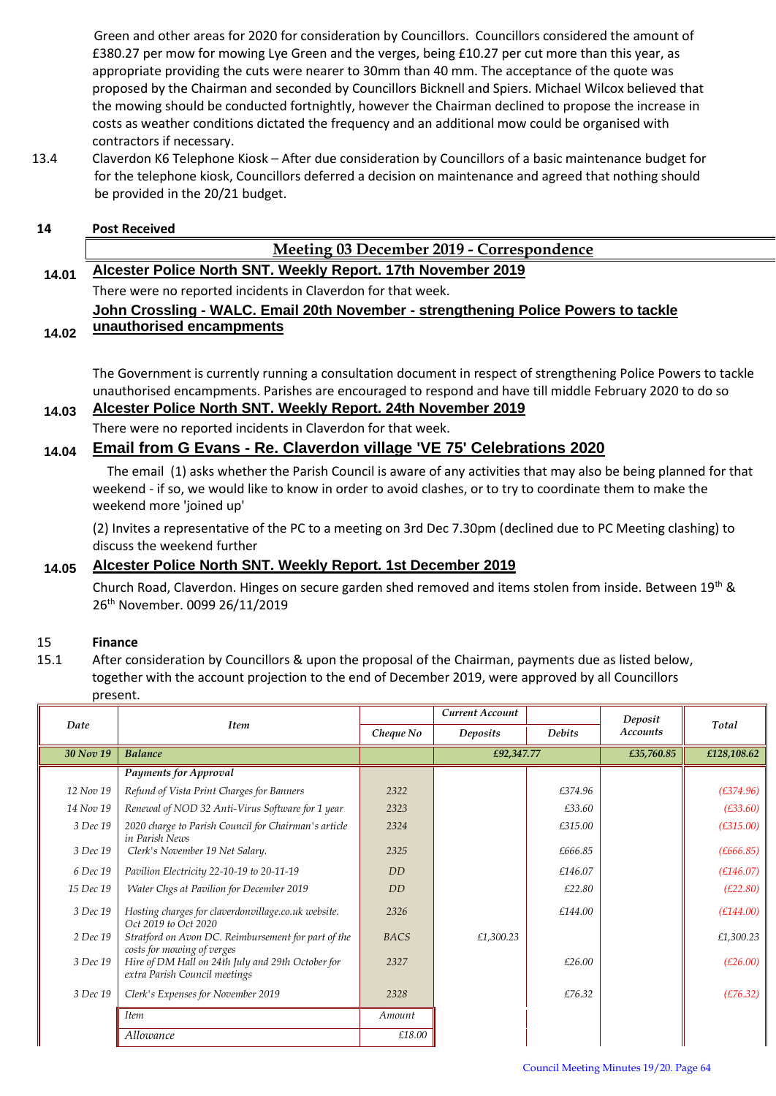Green and other areas for 2020 for consideration by Councillors. Councillors considered the amount of £380.27 per mow for mowing Lye Green and the verges, being £10.27 per cut more than this year, as appropriate providing the cuts were nearer to 30mm than 40 mm. The acceptance of the quote was proposed by the Chairman and seconded by Councillors Bicknell and Spiers. Michael Wilcox believed that the mowing should be conducted fortnightly, however the Chairman declined to propose the increase in costs as weather conditions dictated the frequency and an additional mow could be organised with contractors if necessary.

13.4 Claverdon K6 Telephone Kiosk – After due consideration by Councillors of a basic maintenance budget for for the telephone kiosk, Councillors deferred a decision on maintenance and agreed that nothing should be provided in the 20/21 budget.

#### **14 Post Received**

#### **Meeting 03 December 2019 - Correspondence**

**14.01 Alcester Police North SNT. Weekly Report. 17th November 2019** There were no reported incidents in Claverdon for that week. **John Crossling - WALC. Email 20th November - strengthening Police Powers to tackle** 

#### **14.02 unauthorised encampments**

The Government is currently running a consultation document in respect of strengthening Police Powers to tackle unauthorised encampments. Parishes are encouraged to respond and have till middle February 2020 to do so **14.03 Alcester Police North SNT. Weekly Report. 24th November 2019**

# There were no reported incidents in Claverdon for that week.

## **14.04 Email from G Evans - Re. Claverdon village 'VE 75' Celebrations 2020**

The email (1) asks whether the Parish Council is aware of any activities that may also be being planned for that weekend - if so, we would like to know in order to avoid clashes, or to try to coordinate them to make the weekend more 'joined up'

(2) Invites a representative of the PC to a meeting on 3rd Dec 7.30pm (declined due to PC Meeting clashing) to discuss the weekend further

### **14.05 Alcester Police North SNT. Weekly Report. 1st December 2019**

Church Road, Claverdon. Hinges on secure garden shed removed and items stolen from inside. Between 19th & 26th November. 0099 26/11/2019

#### 15 **Finance**

15.1 After consideration by Councillors & upon the proposal of the Chairman, payments due as listed below, together with the account projection to the end of December 2019, were approved by all Councillors present.

|           | <b>Item</b>                                                                        |             | Current Account |               | Deposit         | Total       |
|-----------|------------------------------------------------------------------------------------|-------------|-----------------|---------------|-----------------|-------------|
| Date      |                                                                                    | Cheque No   | Deposits        | <b>Debits</b> | <b>Accounts</b> |             |
| 30 Nov 19 | <b>Balance</b>                                                                     |             | £92,347.77      |               | £35,760.85      | £128,108.62 |
|           | <b>Payments for Approval</b>                                                       |             |                 |               |                 |             |
| 12 Nov 19 | Refund of Vista Print Charges for Banners                                          | 2322        |                 | £374.96       |                 | (E374.96)   |
| 14 Nov 19 | Renewal of NOD 32 Anti-Virus Software for 1 year                                   | 2323        |                 | £33.60        |                 | (E33.60)    |
| 3 Dec 19  | 2020 charge to Parish Council for Chairman's article<br>in Parish News             | 2324        |                 | £315.00       |                 | (E315.00)   |
| 3 Dec 19  | Clerk's November 19 Net Salary.                                                    | 2325        |                 | £666.85       |                 | (E666.85)   |
| 6 Dec 19  | Pavilion Electricity 22-10-19 to 20-11-19                                          | DD          |                 | £146.07       |                 | (E146.07)   |
| 15 Dec 19 | Water Chgs at Pavilion for December 2019                                           | DD          |                 | £22.80        |                 | (E22.80)    |
| 3 Dec 19  | Hosting charges for claverdonvillage.co.uk website.<br>Oct 2019 to Oct 2020        | 2326        |                 | £144.00       |                 | (E144.00)   |
| 2 Dec 19  | Stratford on Avon DC. Reimbursement for part of the<br>costs for mowing of verges  | <b>BACS</b> | £1,300.23       |               |                 | £1,300.23   |
| 3 Dec 19  | Hire of DM Hall on 24th July and 29th October for<br>extra Parish Council meetings | 2327        |                 | £26.00        |                 | (E26.00)    |
| 3 Dec 19  | Clerk's Expenses for November 2019                                                 | 2328        |                 | £76.32        |                 | (E76.32)    |
|           | <b>Item</b>                                                                        | Amount      |                 |               |                 |             |
|           | Allowance                                                                          | £18.00      |                 |               |                 |             |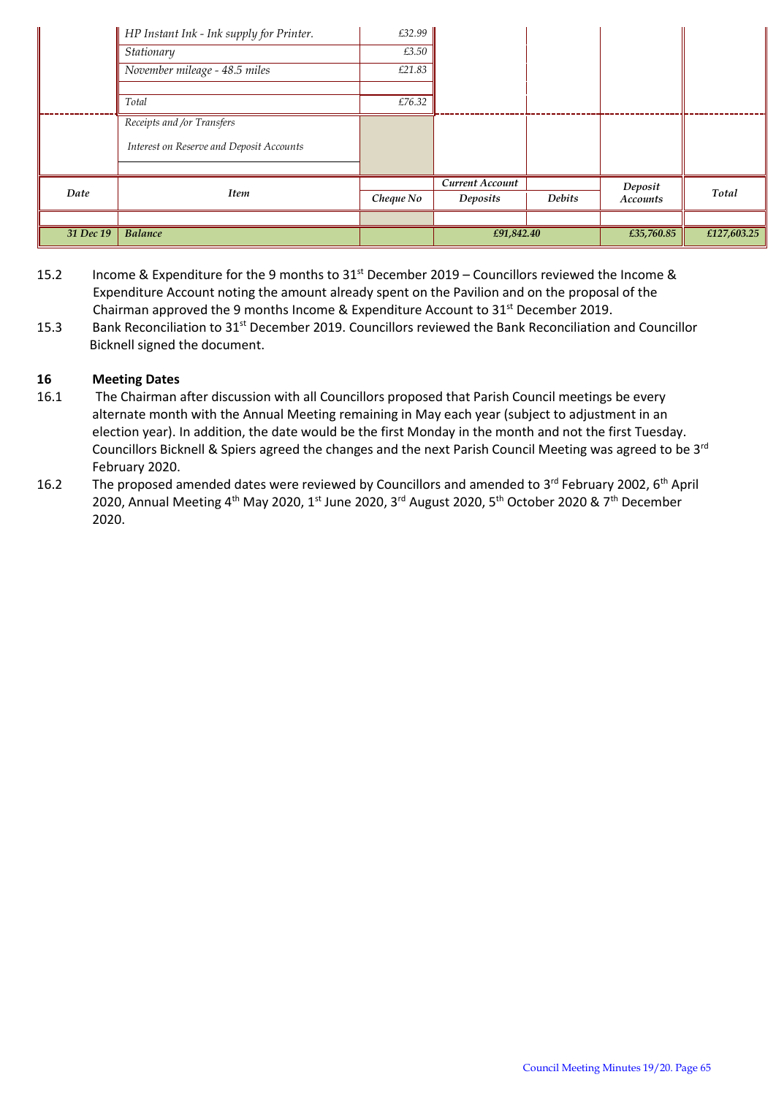|           | HP Instant Ink - Ink supply for Printer. | £32.99    |                 |               |                 |             |
|-----------|------------------------------------------|-----------|-----------------|---------------|-----------------|-------------|
|           | Stationary                               | £3.50     |                 |               |                 |             |
|           | November mileage - 48.5 miles            | £21.83    |                 |               |                 |             |
|           | Total                                    | £76.32    |                 |               |                 |             |
|           | Receipts and /or Transfers               |           |                 |               |                 |             |
|           | Interest on Reserve and Deposit Accounts |           |                 |               |                 |             |
|           |                                          |           |                 |               |                 |             |
| Date      |                                          |           | Current Account |               | Deposit         | Total       |
|           | <b>Item</b>                              | Cheque No | Deposits        | <b>Debits</b> | <b>Accounts</b> |             |
|           |                                          |           |                 |               |                 |             |
| 31 Dec 19 | <b>Balance</b>                           |           | £91,842.40      |               | £35,760.85      | £127,603.25 |

- 15.2 Income & Expenditure for the 9 months to 31<sup>st</sup> December 2019 Councillors reviewed the Income & Expenditure Account noting the amount already spent on the Pavilion and on the proposal of the Chairman approved the 9 months Income & Expenditure Account to  $31<sup>st</sup>$  December 2019.
- 15.3 Bank Reconciliation to 31<sup>st</sup> December 2019. Councillors reviewed the Bank Reconciliation and Councillor Bicknell signed the document.

#### **16 Meeting Dates**

- 16.1 The Chairman after discussion with all Councillors proposed that Parish Council meetings be every alternate month with the Annual Meeting remaining in May each year (subject to adjustment in an election year). In addition, the date would be the first Monday in the month and not the first Tuesday. Councillors Bicknell & Spiers agreed the changes and the next Parish Council Meeting was agreed to be 3rd February 2020.
- 16.2 The proposed amended dates were reviewed by Councillors and amended to 3<sup>rd</sup> February 2002, 6<sup>th</sup> April 2020, Annual Meeting 4<sup>th</sup> May 2020, 1<sup>st</sup> June 2020, 3<sup>rd</sup> August 2020, 5<sup>th</sup> October 2020 & 7<sup>th</sup> December 2020.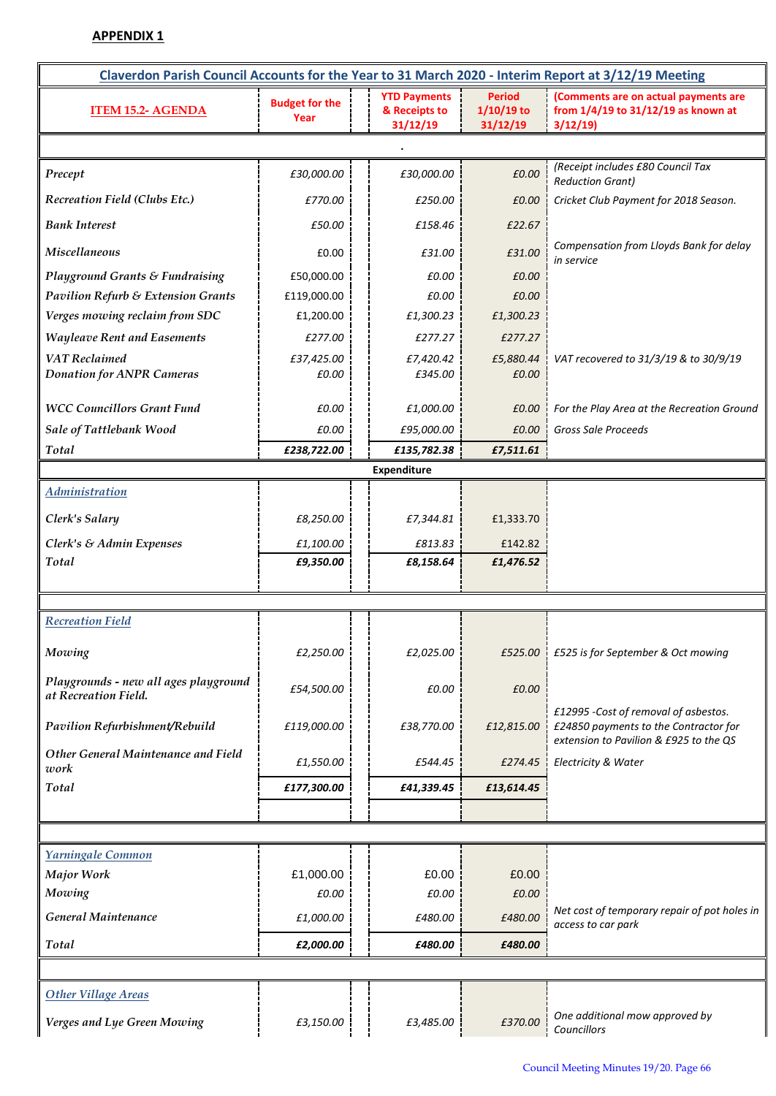## **APPENDIX 1**

| Claverdon Parish Council Accounts for the Year to 31 March 2020 - Interim Report at 3/12/19 Meeting |                               |                                                  |                                           |                                                                                                                         |  |  |  |
|-----------------------------------------------------------------------------------------------------|-------------------------------|--------------------------------------------------|-------------------------------------------|-------------------------------------------------------------------------------------------------------------------------|--|--|--|
| <b>ITEM 15.2- AGENDA</b>                                                                            | <b>Budget for the</b><br>Year | <b>YTD Payments</b><br>& Receipts to<br>31/12/19 | <b>Period</b><br>$1/10/19$ to<br>31/12/19 | (Comments are on actual payments are<br>from 1/4/19 to 31/12/19 as known at<br>3/12/19                                  |  |  |  |
|                                                                                                     |                               |                                                  |                                           |                                                                                                                         |  |  |  |
| Precept                                                                                             | £30,000.00                    | £30,000.00                                       | £0.00                                     | (Receipt includes £80 Council Tax<br><b>Reduction Grant)</b>                                                            |  |  |  |
| Recreation Field (Clubs Etc.)                                                                       | £770.00                       | £250.00                                          | £0.00                                     | Cricket Club Payment for 2018 Season.                                                                                   |  |  |  |
| <b>Bank Interest</b>                                                                                | £50.00                        | £158.46                                          | £22.67                                    |                                                                                                                         |  |  |  |
| <b>Miscellaneous</b>                                                                                | £0.00                         | £31.00                                           | £31.00                                    | Compensation from Lloyds Bank for delay<br>in service                                                                   |  |  |  |
| <b>Playground Grants &amp; Fundraising</b>                                                          | £50,000.00                    | £0.00                                            | £0.00                                     |                                                                                                                         |  |  |  |
| <b>Pavilion Refurb &amp; Extension Grants</b>                                                       | £119,000.00                   | £0.00                                            | £0.00                                     |                                                                                                                         |  |  |  |
| Verges mowing reclaim from SDC                                                                      | £1,200.00                     | £1,300.23                                        | £1,300.23                                 |                                                                                                                         |  |  |  |
| <b>Wayleave Rent and Easements</b>                                                                  | £277.00                       | £277.27                                          | £277.27                                   |                                                                                                                         |  |  |  |
| <b>VAT</b> Reclaimed<br><b>Donation for ANPR Cameras</b>                                            | £37,425.00<br>£0.00           | £7,420.42<br>£345.00                             | £5,880.44<br>£0.00                        | VAT recovered to 31/3/19 & to 30/9/19                                                                                   |  |  |  |
| <b>WCC Councillors Grant Fund</b>                                                                   | £0.00                         | £1,000.00                                        | £0.00                                     | For the Play Area at the Recreation Ground                                                                              |  |  |  |
| Sale of Tattlebank Wood                                                                             | £0.00                         | £95,000.00                                       | £0.00                                     | Gross Sale Proceeds                                                                                                     |  |  |  |
| Total                                                                                               | £238,722.00                   | £135,782.38                                      | £7,511.61                                 |                                                                                                                         |  |  |  |
|                                                                                                     |                               | <b>Expenditure</b>                               |                                           |                                                                                                                         |  |  |  |
| <b>Administration</b>                                                                               |                               |                                                  |                                           |                                                                                                                         |  |  |  |
| Clerk's Salary                                                                                      | £8,250.00                     | £7,344.81                                        | £1,333.70                                 |                                                                                                                         |  |  |  |
| Clerk's & Admin Expenses                                                                            | £1,100.00                     | £813.83                                          | £142.82                                   |                                                                                                                         |  |  |  |
| Total                                                                                               | £9,350.00                     | £8,158.64                                        | £1,476.52                                 |                                                                                                                         |  |  |  |
|                                                                                                     |                               |                                                  |                                           |                                                                                                                         |  |  |  |
|                                                                                                     |                               |                                                  |                                           |                                                                                                                         |  |  |  |
| <b>Recreation Field</b>                                                                             |                               |                                                  |                                           |                                                                                                                         |  |  |  |
| Mowing                                                                                              | £2,250.00                     | £2,025.00                                        | £525.00                                   | $\frac{1}{2}$ £525 is for September & Oct mowing                                                                        |  |  |  |
| Playgrounds - new all ages playground<br>at Recreation Field.                                       | £54,500.00                    | £0.00                                            | £0.00                                     |                                                                                                                         |  |  |  |
| Pavilion Refurbishment/Rebuild                                                                      | £119,000.00                   | £38,770.00                                       | £12,815.00                                | £12995 -Cost of removal of asbestos.<br>£24850 payments to the Contractor for<br>extension to Pavilion & £925 to the QS |  |  |  |
| Other General Maintenance and Field<br>work                                                         | £1,550.00                     | £544.45                                          | £274.45                                   | Electricity & Water                                                                                                     |  |  |  |
| Total                                                                                               | £177,300.00                   | £41,339.45                                       | £13,614.45                                |                                                                                                                         |  |  |  |
|                                                                                                     |                               |                                                  |                                           |                                                                                                                         |  |  |  |
|                                                                                                     |                               |                                                  |                                           |                                                                                                                         |  |  |  |
| Yarningale Common                                                                                   |                               |                                                  |                                           |                                                                                                                         |  |  |  |
| <b>Major Work</b>                                                                                   | £1,000.00                     | £0.00                                            | £0.00                                     |                                                                                                                         |  |  |  |
| Mowing                                                                                              | £0.00                         | £0.00                                            | £0.00                                     |                                                                                                                         |  |  |  |
| General Maintenance                                                                                 | £1,000.00                     | £480.00                                          | £480.00                                   | Net cost of temporary repair of pot holes in<br>access to car park                                                      |  |  |  |
| <b>Total</b>                                                                                        | £2,000.00                     | £480.00                                          | £480.00                                   |                                                                                                                         |  |  |  |
|                                                                                                     |                               |                                                  |                                           |                                                                                                                         |  |  |  |
| <b>Other Village Areas</b>                                                                          |                               |                                                  |                                           |                                                                                                                         |  |  |  |
| Verges and Lye Green Mowing                                                                         | £3,150.00                     | £3,485.00                                        | £370.00                                   | One additional mow approved by<br>Councillors                                                                           |  |  |  |